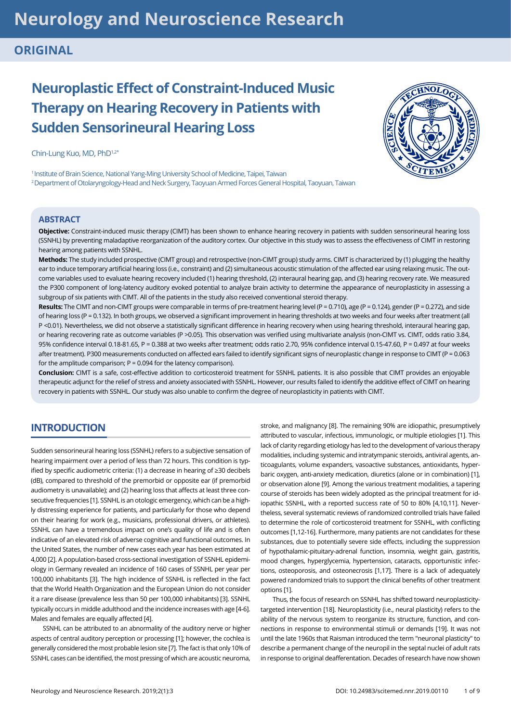# **Neurology and Neuroscience Research**

# **ORIGINAL**

# **Neuroplastic Effect of Constraint-Induced Music Therapy on Hearing Recovery in Patients with Sudden Sensorineural Hearing Loss**

Chin-Lung Kuo, MD, PhD1,2\*

<sup>1</sup> Institute of Brain Science, National Yang-Ming University School of Medicine, Taipei, Taiwan 2 Department of Otolaryngology-Head and Neck Surgery, Taoyuan Armed Forces General Hospital, Taoyuan, Taiwan

### **ABSTRACT**

**Objective:** Constraint-induced music therapy (CIMT) has been shown to enhance hearing recovery in patients with sudden sensorineural hearing loss (SSNHL) by preventing maladaptive reorganization of the auditory cortex. Our objective in this study was to assess the effectiveness of CIMT in restoring hearing among patients with SSNHL.

**Methods:** The study included prospective (CIMT group) and retrospective (non-CIMT group) study arms. CIMT is characterized by (1) plugging the healthy ear to induce temporary artificial hearing loss (i.e., constraint) and (2) simultaneous acoustic stimulation of the affected ear using relaxing music. The outcome variables used to evaluate hearing recovery included (1) hearing threshold, (2) interaural hearing gap, and (3) hearing recovery rate. We measured the P300 component of long-latency auditory evoked potential to analyze brain activity to determine the appearance of neuroplasticity in assessing a subgroup of six patients with CIMT. All of the patients in the study also received conventional steroid therapy.

**Results:** The CIMT and non-CIMT groups were comparable in terms of pre-treatment hearing level (P = 0.710), age (P = 0.124), gender (P = 0.272), and side of hearing loss (P = 0.132). In both groups, we observed a significant improvement in hearing thresholds at two weeks and four weeks after treatment (all P <0.01). Nevertheless, we did not observe a statistically significant difference in hearing recovery when using hearing threshold, interaural hearing gap, or hearing recovering rate as outcome variables (P >0.05). This observation was verified using multivariate analysis (non-CIMT vs. CIMT, odds ratio 3.84, 95% confidence interval 0.18-81.65, P = 0.388 at two weeks after treatment; odds ratio 2.70, 95% confidence interval 0.15-47.60, P = 0.497 at four weeks after treatment). P300 measurements conducted on affected ears failed to identify significant signs of neuroplastic change in response to CIMT (P = 0.063 for the amplitude comparison;  $P = 0.094$  for the latency comparison).

**Conclusion:** CIMT is a safe, cost-effective addition to corticosteroid treatment for SSNHL patients. It is also possible that CIMT provides an enjoyable therapeutic adjunct for the relief of stress and anxiety associated with SSNHL. However, our results failed to identify the additive effect of CIMT on hearing recovery in patients with SSNHL. Our study was also unable to confirm the degree of neuroplasticity in patients with CIMT.

# **INTRODUCTION**

Sudden sensorineural hearing loss (SSNHL) refers to a subjective sensation of hearing impairment over a period of less than 72 hours. This condition is typified by specific audiometric criteria: (1) a decrease in hearing of ≥30 decibels (dB), compared to threshold of the premorbid or opposite ear (if premorbid audiometry is unavailable); and (2) hearing loss that affects at least three consecutive frequencies [1]. SSNHL is an otologic emergency, which can be a highly distressing experience for patients, and particularly for those who depend on their hearing for work (e.g., musicians, professional drivers, or athletes). SSNHL can have a tremendous impact on one's quality of life and is often indicative of an elevated risk of adverse cognitive and functional outcomes. In the United States, the number of new cases each year has been estimated at 4,000 [2]. A population-based cross-sectional investigation of SSNHL epidemiology in Germany revealed an incidence of 160 cases of SSNHL per year per 100,000 inhabitants [3]. The high incidence of SSNHL is reflected in the fact that the World Health Organization and the European Union do not consider it a rare disease (prevalence less than 50 per 100,000 inhabitants) [3]. SSNHL typically occurs in middle adulthood and the incidence increases with age [4-6]. Males and females are equally affected [4].

SSNHL can be attributed to an abnormality of the auditory nerve or higher aspects of central auditory perception or processing [1]; however, the cochlea is generally considered the most probable lesion site [7]. The fact is that only 10% of SSNHL cases can be identified, the most pressing of which are acoustic neuroma, stroke, and malignancy [8]. The remaining 90% are idiopathic, presumptively attributed to vascular, infectious, immunologic, or multiple etiologies [1]. This lack of clarity regarding etiology has led to the development of various therapy modalities, including systemic and intratympanic steroids, antiviral agents, anticoagulants, volume expanders, vasoactive substances, antioxidants, hyperbaric oxygen, anti-anxiety medication, diuretics (alone or in combination) [1], or observation alone [9]. Among the various treatment modalities, a tapering course of steroids has been widely adopted as the principal treatment for idiopathic SSNHL, with a reported success rate of 50 to 80% [4,10,11]. Nevertheless, several systematic reviews of randomized controlled trials have failed to determine the role of corticosteroid treatment for SSNHL, with conflicting outcomes [1,12-16]. Furthermore, many patients are not candidates for these substances, due to potentially severe side effects, including the suppression of hypothalamic-pituitary-adrenal function, insomnia, weight gain, gastritis, mood changes, hyperglycemia, hypertension, cataracts, opportunistic infections, osteoporosis, and osteonecrosis [1,17]. There is a lack of adequately powered randomized trials to support the clinical benefits of other treatment options [1].

Thus, the focus of research on SSNHL has shifted toward neuroplasticitytargeted intervention [18]. Neuroplasticity (i.e., neural plasticity) refers to the ability of the nervous system to reorganize its structure, function, and connections in response to environmental stimuli or demands [19]. It was not until the late 1960s that Raisman introduced the term "neuronal plasticity" to describe a permanent change of the neuropil in the septal nuclei of adult rats in response to original deafferentation. Decades of research have now shown

1 of 9

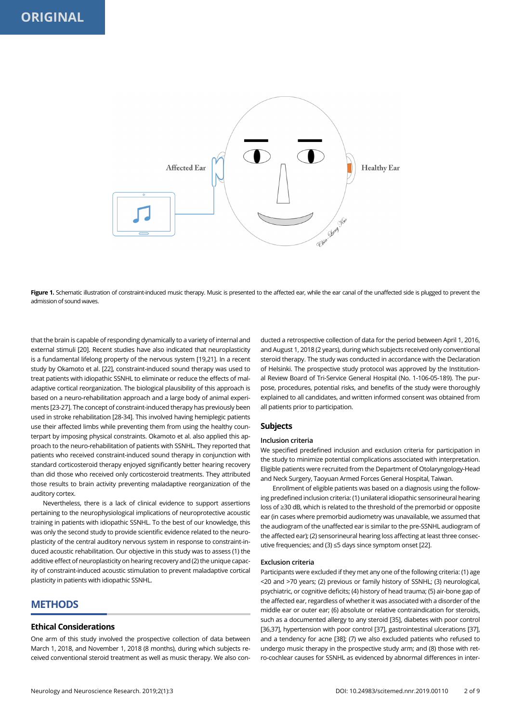

Figure 1. Schematic illustration of constraint-induced music therapy. Music is presented to the affected ear, while the ear canal of the unaffected side is plugged to prevent the admission of sound waves.

that the brain is capable of responding dynamically to a variety of internal and external stimuli [20]. Recent studies have also indicated that neuroplasticity is a fundamental lifelong property of the nervous system [19,21]. In a recent study by Okamoto et al. [22], constraint-induced sound therapy was used to treat patients with idiopathic SSNHL to eliminate or reduce the effects of maladaptive cortical reorganization. The biological plausibility of this approach is based on a neuro-rehabilitation approach and a large body of animal experiments [23-27]. The concept of constraint-induced therapy has previously been used in stroke rehabilitation [28-34]. This involved having hemiplegic patients use their affected limbs while preventing them from using the healthy counterpart by imposing physical constraints. Okamoto et al. also applied this approach to the neuro-rehabilitation of patients with SSNHL. They reported that patients who received constraint-induced sound therapy in conjunction with standard corticosteroid therapy enjoyed significantly better hearing recovery than did those who received only corticosteroid treatments. They attributed those results to brain activity preventing maladaptive reorganization of the auditory cortex.

Nevertheless, there is a lack of clinical evidence to support assertions pertaining to the neurophysiological implications of neuroprotective acoustic training in patients with idiopathic SSNHL. To the best of our knowledge, this was only the second study to provide scientific evidence related to the neuroplasticity of the central auditory nervous system in response to constraint-induced acoustic rehabilitation. Our objective in this study was to assess (1) the additive effect of neuroplasticity on hearing recovery and (2) the unique capacity of constraint-induced acoustic stimulation to prevent maladaptive cortical plasticity in patients with idiopathic SSNHL.

# **METHODS**

### **Ethical Considerations**

One arm of this study involved the prospective collection of data between March 1, 2018, and November 1, 2018 (8 months), during which subjects received conventional steroid treatment as well as music therapy. We also con-

ducted a retrospective collection of data for the period between April 1, 2016, and August 1, 2018 (2 years), during which subjects received only conventional steroid therapy. The study was conducted in accordance with the Declaration of Helsinki. The prospective study protocol was approved by the Institutional Review Board of Tri-Service General Hospital (No. 1-106-05-189). The purpose, procedures, potential risks, and benefits of the study were thoroughly explained to all candidates, and written informed consent was obtained from all patients prior to participation.

### **Subjects**

### **Inclusion criteria**

We specified predefined inclusion and exclusion criteria for participation in the study to minimize potential complications associated with interpretation. Eligible patients were recruited from the Department of Otolaryngology-Head and Neck Surgery, Taoyuan Armed Forces General Hospital, Taiwan.

Enrollment of eligible patients was based on a diagnosis using the following predefined inclusion criteria: (1) unilateral idiopathic sensorineural hearing loss of ≥30 dB, which is related to the threshold of the premorbid or opposite ear (in cases where premorbid audiometry was unavailable, we assumed that the audiogram of the unaffected ear is similar to the pre-SSNHL audiogram of the affected ear); (2) sensorineural hearing loss affecting at least three consecutive frequencies; and (3) ≤5 days since symptom onset [22].

### **Exclusion criteria**

Participants were excluded if they met any one of the following criteria: (1) age <20 and >70 years; (2) previous or family history of SSNHL; (3) neurological, psychiatric, or cognitive deficits; (4) history of head trauma; (5) air-bone gap of the affected ear, regardless of whether it was associated with a disorder of the middle ear or outer ear; (6) absolute or relative contraindication for steroids, such as a documented allergy to any steroid [35], diabetes with poor control [36,37], hypertension with poor control [37], gastrointestinal ulcerations [37], and a tendency for acne [38]; (7) we also excluded patients who refused to undergo music therapy in the prospective study arm; and (8) those with retro-cochlear causes for SSNHL as evidenced by abnormal differences in inter-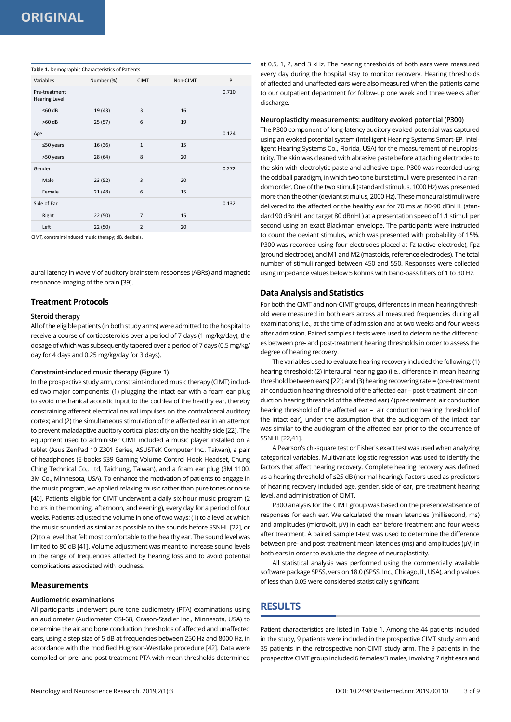| Variables                             | Number (%) | <b>CIMT</b>    | Non-CIMT | P     |
|---------------------------------------|------------|----------------|----------|-------|
| Pre-treatment<br><b>Hearing Level</b> |            |                |          | 0.710 |
| $≤60$ dB                              | 19 (43)    | 3              | 16       |       |
| $>60$ dB                              | 25(57)     | 6              | 19       |       |
| Age                                   |            |                |          | 0.124 |
| $≤50$ years                           | 16 (36)    | $\mathbf{1}$   | 15       |       |
| >50 years                             | 28 (64)    | 8              | 20       |       |
| Gender                                |            |                |          | 0.272 |
| Male                                  | 23 (52)    | 3              | 20       |       |
| Female                                | 21 (48)    | 6              | 15       |       |
| Side of Ear                           |            |                |          | 0.132 |
| Right                                 | 22 (50)    | $\overline{7}$ | 15       |       |
| Left                                  | 22 (50)    | $\overline{2}$ | 20       |       |

aural latency in wave V of auditory brainstem responses (ABRs) and magnetic resonance imaging of the brain [39].

### **Treatment Protocols**

#### **Steroid therapy**

All of the eligible patients (in both study arms) were admitted to the hospital to receive a course of corticosteroids over a period of 7 days (1 mg/kg/day), the dosage of which was subsequently tapered over a period of 7 days (0.5 mg/kg/ day for 4 days and 0.25 mg/kg/day for 3 days).

### **Constraint-induced music therapy (Figure 1)**

In the prospective study arm, constraint-induced music therapy (CIMT) included two major components: (1) plugging the intact ear with a foam ear plug to avoid mechanical acoustic input to the cochlea of the healthy ear, thereby constraining afferent electrical neural impulses on the contralateral auditory cortex; and (2) the simultaneous stimulation of the affected ear in an attempt to prevent maladaptive auditory cortical plasticity on the healthy side [22]. The equipment used to administer CIMT included a music player installed on a tablet (Asus ZenPad 10 Z301 Series, ASUSTeK Computer Inc., Taiwan), a pair of headphones (E-books S39 Gaming Volume Control Hook Headset, Chung Ching Technical Co., Ltd, Taichung, Taiwan), and a foam ear plug (3M 1100, 3M Co., Minnesota, USA). To enhance the motivation of patients to engage in the music program, we applied relaxing music rather than pure tones or noise [40]. Patients eligible for CIMT underwent a daily six-hour music program (2 hours in the morning, afternoon, and evening), every day for a period of four weeks. Patients adjusted the volume in one of two ways: (1) to a level at which the music sounded as similar as possible to the sounds before SSNHL [22], or (2) to a level that felt most comfortable to the healthy ear. The sound level was limited to 80 dB [41]. Volume adjustment was meant to increase sound levels in the range of frequencies affected by hearing loss and to avoid potential complications associated with loudness.

### **Measurements**

### **Audiometric examinations**

All participants underwent pure tone audiometry (PTA) examinations using an audiometer (Audiometer GSI-68, Grason-Stadler Inc., Minnesota, USA) to determine the air and bone conduction thresholds of affected and unaffected ears, using a step size of 5 dB at frequencies between 250 Hz and 8000 Hz, in accordance with the modified Hughson-Westlake procedure [42]. Data were compiled on pre- and post-treatment PTA with mean thresholds determined

at 0.5, 1, 2, and 3 kHz. The hearing thresholds of both ears were measured every day during the hospital stay to monitor recovery. Hearing thresholds of affected and unaffected ears were also measured when the patients came to our outpatient department for follow-up one week and three weeks after discharge.

#### **Neuroplasticity measurements: auditory evoked potential (P300)**

The P300 component of long-latency auditory evoked potential was captured using an evoked potential system (Intelligent Hearing Systems Smart-EP, Intelligent Hearing Systems Co., Florida, USA) for the measurement of neuroplasticity. The skin was cleaned with abrasive paste before attaching electrodes to the skin with electrolytic paste and adhesive tape. P300 was recorded using the oddball paradigm, in which two tone burst stimuli were presented in a random order. One of the two stimuli (standard stimulus, 1000 Hz) was presented more than the other (deviant stimulus, 2000 Hz). These monaural stimuli were delivered to the affected or the healthy ear for 70 ms at 80-90 dBnHL (standard 90 dBnHL and target 80 dBnHL) at a presentation speed of 1.1 stimuli per second using an exact Blackman envelope. The participants were instructed to count the deviant stimulus, which was presented with probability of 15%. P300 was recorded using four electrodes placed at Fz (active electrode), Fpz (ground electrode), and M1 and M2 (mastoids, reference electrodes). The total number of stimuli ranged between 450 and 550. Responses were collected using impedance values below 5 kohms with band-pass filters of 1 to 30 Hz.

### **Data Analysis and Statistics**

For both the CIMT and non-CIMT groups, differences in mean hearing threshold were measured in both ears across all measured frequencies during all examinations; i.e., at the time of admission and at two weeks and four weeks after admission. Paired samples t-tests were used to determine the differences between pre- and post-treatment hearing thresholds in order to assess the degree of hearing recovery.

The variables used to evaluate hearing recovery included the following: (1) hearing threshold; (2) interaural hearing gap (i.e., difference in mean hearing threshold between ears) [22]; and (3) hearing recovering rate = (pre-treatment air conduction hearing threshold of the affected ear – post-treatment air conduction hearing threshold of the affected ear) / (pre-treatment air conduction hearing threshold of the affected ear – air conduction hearing threshold of the intact ear), under the assumption that the audiogram of the intact ear was similar to the audiogram of the affected ear prior to the occurrence of SSNHL [22,41].

A Pearson's chi-square test or Fisher's exact test was used when analyzing categorical variables. Multivariate logistic regression was used to identify the factors that affect hearing recovery. Complete hearing recovery was defined as a hearing threshold of ≤25 dB (normal hearing). Factors used as predictors of hearing recovery included age, gender, side of ear, pre-treatment hearing level, and administration of CIMT.

P300 analysis for the CIMT group was based on the presence/absence of responses for each ear. We calculated the mean latencies (millisecond, ms) and amplitudes (microvolt, μV) in each ear before treatment and four weeks after treatment. A paired sample t-test was used to determine the difference between pre- and post-treatment mean latencies (ms) and amplitudes (μV) in both ears in order to evaluate the degree of neuroplasticity.

All statistical analysis was performed using the commercially available software package SPSS, version 18.0 (SPSS, Inc., Chicago, IL, USA), and p values of less than 0.05 were considered statistically significant.

# **RESULTS**

Patient characteristics are listed in Table 1. Among the 44 patients included in the study, 9 patients were included in the prospective CIMT study arm and 35 patients in the retrospective non-CIMT study arm. The 9 patients in the prospective CIMT group included 6 females/3 males, involving 7 right ears and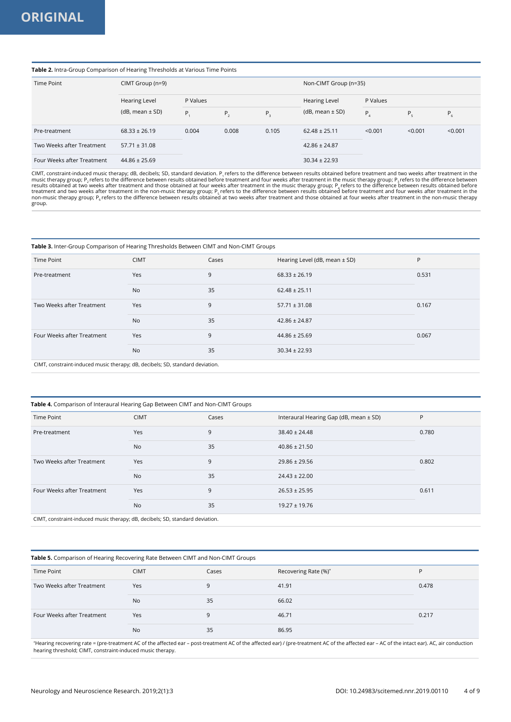### **Table 2.** Intra-Group Comparison of Hearing Thresholds at Various Time Points

| Time Point                 | CIMT Group (n=9)    |          |       |         | Non-CIMT Group (n=35) |          |             |         |
|----------------------------|---------------------|----------|-------|---------|-----------------------|----------|-------------|---------|
|                            | Hearing Level       | P Values |       |         | Hearing Level         | P Values |             |         |
|                            | $(dB, mean \pm SD)$ | P.       | P,    | $P_{3}$ | $(dB, mean \pm SD)$   | Ρ.       | $P_{\rm g}$ | $P_{6}$ |
| Pre-treatment              | $68.33 \pm 26.19$   | 0.004    | 0.008 | 0.105   | $62.48 \pm 25.11$     | < 0.001  | < 0.001     | < 0.001 |
| Two Weeks after Treatment  | $57.71 \pm 31.08$   |          |       |         | $42.86 \pm 24.87$     |          |             |         |
| Four Weeks after Treatment | $44.86 \pm 25.69$   |          |       |         | $30.34 \pm 22.93$     |          |             |         |

CIMT, constraint-induced music therapy; dB, decibels; SD, standard deviation. P<sub>1</sub> refers to the difference between results obtained before treatment and two weeks after treatment in the music therapy group; P<sub>2</sub> refers t group.

#### **Table 3.** Inter-Group Comparison of Hearing Thresholds Between CIMT and Non-CIMT Groups

| Time Point                                                                    | <b>CIMT</b> | Cases | Hearing Level (dB, mean ± SD) | P     |  |  |
|-------------------------------------------------------------------------------|-------------|-------|-------------------------------|-------|--|--|
| Pre-treatment                                                                 | Yes         | 9     | $68.33 \pm 26.19$             | 0.531 |  |  |
|                                                                               | <b>No</b>   | 35    | $62.48 \pm 25.11$             |       |  |  |
| Two Weeks after Treatment                                                     | <b>Yes</b>  | 9     | $57.71 \pm 31.08$             | 0.167 |  |  |
|                                                                               | <b>No</b>   | 35    | $42.86 \pm 24.87$             |       |  |  |
| Four Weeks after Treatment                                                    | Yes         | 9     | $44.86 \pm 25.69$             | 0.067 |  |  |
|                                                                               | <b>No</b>   | 35    | $30.34 \pm 22.93$             |       |  |  |
| CIMT, constraint-induced music therapy; dB, decibels; SD, standard deviation. |             |       |                               |       |  |  |

### **Table 4.** Comparison of Interaural Hearing Gap Between CIMT and Non-CIMT Groups

| Time Point                                                                    | <b>CIMT</b> | Cases | Interaural Hearing Gap (dB, mean ± SD) | P     |  |  |
|-------------------------------------------------------------------------------|-------------|-------|----------------------------------------|-------|--|--|
| Pre-treatment                                                                 | Yes         | 9     | $38.40 \pm 24.48$                      | 0.780 |  |  |
|                                                                               | <b>No</b>   | 35    | $40.86 \pm 21.50$                      |       |  |  |
| Two Weeks after Treatment                                                     | Yes         | 9     | $29.86 \pm 29.56$                      | 0.802 |  |  |
|                                                                               | <b>No</b>   | 35    | $24.43 \pm 22.00$                      |       |  |  |
| Four Weeks after Treatment                                                    | Yes         | 9     | $26.53 \pm 25.95$                      | 0.611 |  |  |
|                                                                               | <b>No</b>   | 35    | $19.27 \pm 19.76$                      |       |  |  |
| CIMT, constraint-induced music therapy; dB, decibels; SD, standard deviation. |             |       |                                        |       |  |  |

**Table 5.** Comparison of Hearing Recovering Rate Between CIMT and Non-CIMT Groups

| $\sim$                     | $\sim$      |       |                      |       |  |
|----------------------------|-------------|-------|----------------------|-------|--|
| Time Point                 | <b>CIMT</b> | Cases | Recovering Rate (%)* | D     |  |
| Two Weeks after Treatment  | Yes         | 9     | 41.91                | 0.478 |  |
|                            | <b>No</b>   | 35    | 66.02                |       |  |
| Four Weeks after Treatment | Yes         | 9     | 46.71                | 0.217 |  |
|                            | <b>No</b>   | 35    | 86.95                |       |  |

\* Hearing recovering rate = (pre-treatment AC of the affected ear – post-treatment AC of the affected ear) / (pre-treatment AC of the affected ear – AC of the intact ear). AC, air conduction hearing threshold; CIMT, constraint-induced music therapy.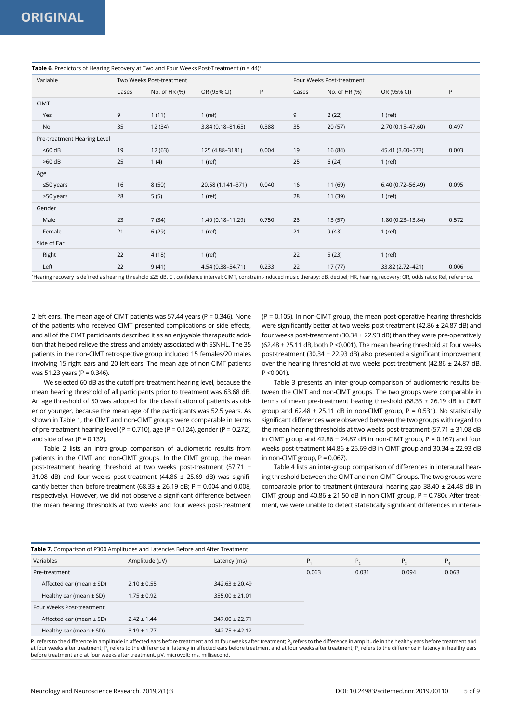| <b>able of</b> Healthcard of Health <sub>a</sub> Recovery at This and Toal Weeks Fost Heathlent (if<br>Variable | Two Weeks Post-treatment |              |                   |       |       | Four Weeks Post-treatment |                   |       |  |
|-----------------------------------------------------------------------------------------------------------------|--------------------------|--------------|-------------------|-------|-------|---------------------------|-------------------|-------|--|
|                                                                                                                 | Cases                    | No. of HR(%) | OR (95% CI)       | P     | Cases | No. of HR (%)             | OR (95% CI)       | P     |  |
| <b>CIMT</b>                                                                                                     |                          |              |                   |       |       |                           |                   |       |  |
| Yes                                                                                                             | 9                        | 1(11)        | $1$ (ref)         |       | 9     | 2(22)                     | $1$ (ref)         |       |  |
| <b>No</b>                                                                                                       | 35                       | 12 (34)      | 3.84 (0.18-81.65) | 0.388 | 35    | 20(57)                    | 2.70 (0.15-47.60) | 0.497 |  |
| Pre-treatment Hearing Level                                                                                     |                          |              |                   |       |       |                           |                   |       |  |
| $≤60$ dB                                                                                                        | 19                       | 12(63)       | 125 (4.88-3181)   | 0.004 | 19    | 16 (84)                   | 45.41 (3.60-573)  | 0.003 |  |
| $>60$ dB                                                                                                        | 25                       | 1(4)         | $1$ (ref)         |       | 25    | 6(24)                     | $1$ (ref)         |       |  |
| Age                                                                                                             |                          |              |                   |       |       |                           |                   |       |  |
| $\leq 50$ years                                                                                                 | 16                       | 8(50)        | 20.58 (1.141-371) | 0.040 | 16    | 11 (69)                   | 6.40 (0.72-56.49) | 0.095 |  |
| >50 years                                                                                                       | 28                       | 5(5)         | $1$ (ref)         |       | 28    | 11 (39)                   | $1$ (ref)         |       |  |
| Gender                                                                                                          |                          |              |                   |       |       |                           |                   |       |  |
| Male                                                                                                            | 23                       | 7(34)        | 1.40 (0.18-11.29) | 0.750 | 23    | 13(57)                    | 1.80 (0.23-13.84) | 0.572 |  |
| Female                                                                                                          | 21                       | 6(29)        | $1$ (ref)         |       | 21    | 9(43)                     | $1$ (ref)         |       |  |
| Side of Ear                                                                                                     |                          |              |                   |       |       |                           |                   |       |  |
| Right                                                                                                           | 22                       | 4(18)        | $1$ (ref)         |       | 22    | 5(23)                     | $1$ (ref)         |       |  |
| Left                                                                                                            | 22                       | 9(41)        | 4.54 (0.38-54.71) | 0.233 | 22    | 17(77)                    | 33.82 (2.72-421)  | 0.006 |  |

#### **Table 6.** Predictors of Hearing Recovery at Two and Four Weeks Post-Treatment (n = 44)

\* Hearing recovery is defined as hearing threshold ≤25 dB. CI, confidence interval; CIMT, constraint-induced music therapy; dB, decibel; HR, hearing recovery; OR, odds ratio; Ref, reference.

2 left ears. The mean age of CIMT patients was 57.44 years (P = 0.346). None of the patients who received CIMT presented complications or side effects, and all of the CIMT participants described it as an enjoyable therapeutic addition that helped relieve the stress and anxiety associated with SSNHL. The 35 patients in the non-CIMT retrospective group included 15 females/20 males involving 15 right ears and 20 left ears. The mean age of non-CIMT patients was 51.23 years (P = 0.346).

We selected 60 dB as the cutoff pre-treatment hearing level, because the mean hearing threshold of all participants prior to treatment was 63.68 dB. An age threshold of 50 was adopted for the classification of patients as older or younger, because the mean age of the participants was 52.5 years. As shown in Table 1, the CIMT and non-CIMT groups were comparable in terms of pre-treatment hearing level (P = 0.710), age (P = 0.124), gender (P = 0.272), and side of ear  $(P = 0.132)$ .

Table 2 lists an intra-group comparison of audiometric results from patients in the CIMT and non-CIMT groups. In the CIMT group, the mean post-treatment hearing threshold at two weeks post-treatment (57.71 ± 31.08 dB) and four weeks post-treatment (44.86 ± 25.69 dB) was significantly better than before treatment (68.33  $\pm$  26.19 dB; P = 0.004 and 0.008, respectively). However, we did not observe a significant difference between the mean hearing thresholds at two weeks and four weeks post-treatment (P = 0.105). In non-CIMT group, the mean post-operative hearing thresholds were significantly better at two weeks post-treatment (42.86 ± 24.87 dB) and four weeks post-treatment (30.34 ± 22.93 dB) than they were pre-operatively (62.48 ± 25.11 dB, both P <0.001). The mean hearing threshold at four weeks post-treatment (30.34 ± 22.93 dB) also presented a significant improvement over the hearing threshold at two weeks post-treatment (42.86 ± 24.87 dB,  $P < 0.001$ 

Table 3 presents an inter-group comparison of audiometric results between the CIMT and non-CIMT groups. The two groups were comparable in terms of mean pre-treatment hearing threshold (68.33 ± 26.19 dB in CIMT group and  $62.48 \pm 25.11$  dB in non-CIMT group, P = 0.531). No statistically significant differences were observed between the two groups with regard to the mean hearing thresholds at two weeks post-treatment (57.71 ± 31.08 dB in CIMT group and  $42.86 \pm 24.87$  dB in non-CIMT group, P = 0.167) and four weeks post-treatment (44.86 ± 25.69 dB in CIMT group and 30.34 ± 22.93 dB in non-CIMT group,  $P = 0.067$ ).

Table 4 lists an inter-group comparison of differences in interaural hearing threshold between the CIMT and non-CIMT Groups. The two groups were comparable prior to treatment (interaural hearing gap 38.40 ± 24.48 dB in CIMT group and  $40.86 \pm 21.50$  dB in non-CIMT group, P = 0.780). After treatment, we were unable to detect statistically significant differences in interau-

| Table 7. Comparison of P300 Amplitudes and Latencies Before and After Treatment |                 |                    |       |         |       |       |  |
|---------------------------------------------------------------------------------|-----------------|--------------------|-------|---------|-------|-------|--|
| Variables                                                                       | Amplitude (µV)  | Latency (ms)       | P.    | $P_{2}$ | Ρ,    | Р.    |  |
| Pre-treatment                                                                   |                 |                    | 0.063 | 0.031   | 0.094 | 0.063 |  |
| Affected ear (mean $\pm$ SD)                                                    | $2.10 \pm 0.55$ | $342.63 \pm 20.49$ |       |         |       |       |  |
| Healthy ear (mean $\pm$ SD)                                                     | $1.75 \pm 0.92$ | $355.00 \pm 21.01$ |       |         |       |       |  |
| Four Weeks Post-treatment                                                       |                 |                    |       |         |       |       |  |
| Affected ear (mean $\pm$ SD)                                                    | $2.42 \pm 1.44$ | $347.00 \pm 22.71$ |       |         |       |       |  |
| Healthy ear (mean $\pm$ SD)                                                     | $3.19 \pm 1.77$ | $342.75 \pm 42.12$ |       |         |       |       |  |

P1 refers to the difference in amplitude in affected ears before treatment and at four weeks after treatment; P2 refers to the difference in amplitude in the healthy ears before treatment and at four weeks after treatment; P refers to the difference in latency in affected ears before treatment and at four weeks after treatment; P refers to the difference in latency in healthy ears before treatment and at four weeks after treatment. μV, microvolt; ms, millisecond.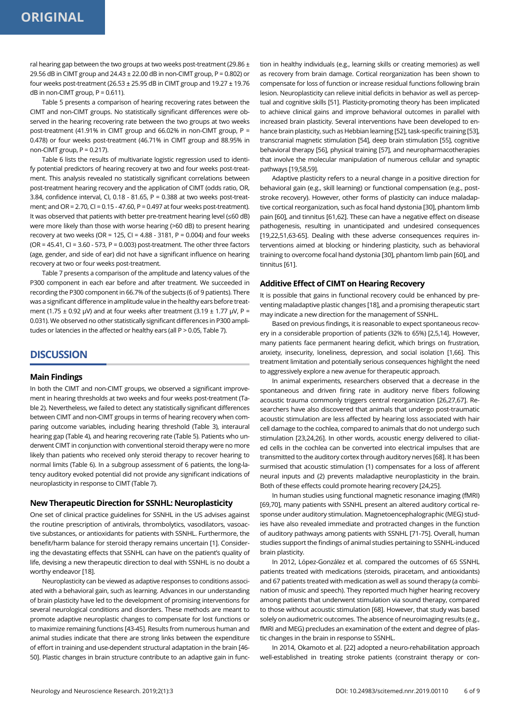ral hearing gap between the two groups at two weeks post-treatment (29.86  $\pm$ 29.56 dB in CIMT group and 24.43 ± 22.00 dB in non-CIMT group, P = 0.802) or four weeks post-treatment (26.53  $\pm$  25.95 dB in CIMT group and 19.27  $\pm$  19.76 dB in non-CIMT group,  $P = 0.611$ ).

Table 5 presents a comparison of hearing recovering rates between the CIMT and non-CIMT groups. No statistically significant differences were observed in the hearing recovering rate between the two groups at two weeks post-treatment (41.91% in CIMT group and 66.02% in non-CIMT group, P = 0.478) or four weeks post-treatment (46.71% in CIMT group and 88.95% in non-CIMT group,  $P = 0.217$ ).

Table 6 lists the results of multivariate logistic regression used to identify potential predictors of hearing recovery at two and four weeks post-treatment. This analysis revealed no statistically significant correlations between post-treatment hearing recovery and the application of CIMT (odds ratio, OR, 3.84, confidence interval, CI, 0.18 - 81.65, P = 0.388 at two weeks post-treatment; and OR =  $2.70$ , CI =  $0.15 - 47.60$ , P =  $0.497$  at four weeks post-treatment). It was observed that patients with better pre-treatment hearing level (≤60 dB) were more likely than those with worse hearing (>60 dB) to present hearing recovery at two weeks (OR = 125, CI = 4.88 - 3181, P = 0.004) and four weeks  $(OR = 45.41, CI = 3.60 - 573, P = 0.003)$  post-treatment. The other three factors (age, gender, and side of ear) did not have a significant influence on hearing recovery at two or four weeks post-treatment.

Table 7 presents a comparison of the amplitude and latency values of the P300 component in each ear before and after treatment. We succeeded in recording the P300 component in 66.7% of the subjects (6 of 9 patients). There was a significant difference in amplitude value in the healthy ears before treatment (1.75  $\pm$  0.92 μV) and at four weeks after treatment (3.19  $\pm$  1.77 μV, P = 0.031). We observed no other statistically significant differences in P300 amplitudes or latencies in the affected or healthy ears (all P > 0.05, Table 7).

## **DISCUSSION**

### **Main Findings**

In both the CIMT and non-CIMT groups, we observed a significant improvement in hearing thresholds at two weeks and four weeks post-treatment (Table 2). Nevertheless, we failed to detect any statistically significant differences between CIMT and non-CIMT groups in terms of hearing recovery when comparing outcome variables, including hearing threshold (Table 3), interaural hearing gap (Table 4), and hearing recovering rate (Table 5). Patients who underwent CIMT in conjunction with conventional steroid therapy were no more likely than patients who received only steroid therapy to recover hearing to normal limits (Table 6). In a subgroup assessment of 6 patients, the long-latency auditory evoked potential did not provide any significant indications of neuroplasticity in response to CIMT (Table 7).

### **New Therapeutic Direction for SSNHL: Neuroplasticity**

One set of clinical practice guidelines for SSNHL in the US advises against the routine prescription of antivirals, thrombolytics, vasodilators, vasoactive substances, or antioxidants for patients with SSNHL. Furthermore, the benefit/harm balance for steroid therapy remains uncertain [1]. Considering the devastating effects that SSNHL can have on the patient's quality of life, devising a new therapeutic direction to deal with SSNHL is no doubt a worthy endeavor [18].

Neuroplasticity can be viewed as adaptive responses to conditions associated with a behavioral gain, such as learning. Advances in our understanding of brain plasticity have led to the development of promising interventions for several neurological conditions and disorders. These methods are meant to promote adaptive neuroplastic changes to compensate for lost functions or to maximize remaining functions [43-45]. Results from numerous human and animal studies indicate that there are strong links between the expenditure of effort in training and use-dependent structural adaptation in the brain [46- 50]. Plastic changes in brain structure contribute to an adaptive gain in function in healthy individuals (e.g., learning skills or creating memories) as well as recovery from brain damage. Cortical reorganization has been shown to compensate for loss of function or increase residual functions following brain lesion. Neuroplasticity can relieve initial deficits in behavior as well as perceptual and cognitive skills [51]. Plasticity-promoting theory has been implicated to achieve clinical gains and improve behavioral outcomes in parallel with increased brain plasticity. Several interventions have been developed to enhance brain plasticity, such as Hebbian learning [52], task-specific training [53], transcranial magnetic stimulation [54], deep brain stimulation [55], cognitive behavioral therapy [56], physical training [57], and neuropharmacotherapies that involve the molecular manipulation of numerous cellular and synaptic pathways [19,58,59].

Adaptive plasticity refers to a neural change in a positive direction for behavioral gain (e.g., skill learning) or functional compensation (e.g., poststroke recovery). However, other forms of plasticity can induce maladaptive cortical reorganization, such as focal hand dystonia [30], phantom limb pain [60], and tinnitus [61,62]. These can have a negative effect on disease pathogenesis, resulting in unanticipated and undesired consequences [19,22,51,63-65]. Dealing with these adverse consequences requires interventions aimed at blocking or hindering plasticity, such as behavioral training to overcome focal hand dystonia [30], phantom limb pain [60], and tinnitus [61].

### **Additive Effect of CIMT on Hearing Recovery**

It is possible that gains in functional recovery could be enhanced by preventing maladaptive plastic changes [18], and a promising therapeutic start may indicate a new direction for the management of SSNHL.

Based on previous findings, it is reasonable to expect spontaneous recovery in a considerable proportion of patients (32% to 65%) [2,5,14]. However, many patients face permanent hearing deficit, which brings on frustration, anxiety, insecurity, loneliness, depression, and social isolation [1,66]. This treatment limitation and potentially serious consequences highlight the need to aggressively explore a new avenue for therapeutic approach.

In animal experiments, researchers observed that a decrease in the spontaneous and driven firing rate in auditory nerve fibers following acoustic trauma commonly triggers central reorganization [26,27,67]. Researchers have also discovered that animals that undergo post-traumatic acoustic stimulation are less affected by hearing loss associated with hair cell damage to the cochlea, compared to animals that do not undergo such stimulation [23,24,26]. In other words, acoustic energy delivered to ciliated cells in the cochlea can be converted into electrical impulses that are transmitted to the auditory cortex through auditory nerves [68]. It has been surmised that acoustic stimulation (1) compensates for a loss of afferent neural inputs and (2) prevents maladaptive neuroplasticity in the brain. Both of these effects could promote hearing recovery [24,25].

In human studies using functional magnetic resonance imaging (fMRI) [69,70], many patients with SSNHL present an altered auditory cortical response under auditory stimulation. Magnetoencephalographic (MEG) studies have also revealed immediate and protracted changes in the function of auditory pathways among patients with SSNHL [71-75]. Overall, human studies support the findings of animal studies pertaining to SSNHL-induced brain plasticity.

In 2012, López-González et al. compared the outcomes of 65 SSNHL patients treated with medications (steroids, piracetam, and antioxidants) and 67 patients treated with medication as well as sound therapy (a combination of music and speech). They reported much higher hearing recovery among patients that underwent stimulation via sound therapy, compared to those without acoustic stimulation [68]. However, that study was based solely on audiometric outcomes. The absence of neuroimaging results (e.g., fMRI and MEG) precludes an examination of the extent and degree of plastic changes in the brain in response to SSNHL.

In 2014, Okamoto et al. [22] adopted a neuro-rehabilitation approach well-established in treating stroke patients (constraint therapy or con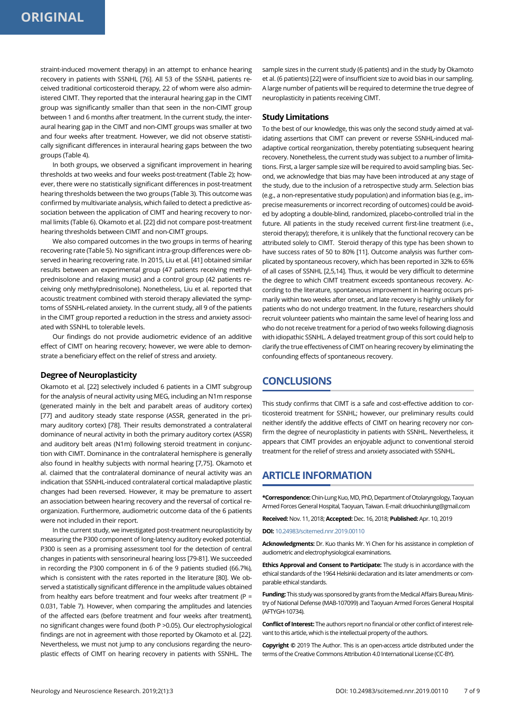straint-induced movement therapy) in an attempt to enhance hearing recovery in patients with SSNHL [76]. All 53 of the SSNHL patients received traditional corticosteroid therapy, 22 of whom were also administered CIMT. They reported that the interaural hearing gap in the CIMT group was significantly smaller than that seen in the non-CIMT group between 1 and 6 months after treatment. In the current study, the interaural hearing gap in the CIMT and non-CIMT groups was smaller at two and four weeks after treatment. However, we did not observe statistically significant differences in interaural hearing gaps between the two groups (Table 4).

In both groups, we observed a significant improvement in hearing thresholds at two weeks and four weeks post-treatment (Table 2); however, there were no statistically significant differences in post-treatment hearing thresholds between the two groups (Table 3). This outcome was confirmed by multivariate analysis, which failed to detect a predictive association between the application of CIMT and hearing recovery to normal limits (Table 6). Okamoto et al. [22] did not compare post-treatment hearing thresholds between CIMT and non-CIMT groups.

We also compared outcomes in the two groups in terms of hearing recovering rate (Table 5). No significant intra-group differences were observed in hearing recovering rate. In 2015, Liu et al. [41] obtained similar results between an experimental group (47 patients receiving methylprednisolone and relaxing music) and a control group (42 patients receiving only methylprednisolone). Nonetheless, Liu et al. reported that acoustic treatment combined with steroid therapy alleviated the symptoms of SSNHL-related anxiety. In the current study, all 9 of the patients in the CIMT group reported a reduction in the stress and anxiety associated with SSNHL to tolerable levels.

Our findings do not provide audiometric evidence of an additive effect of CIMT on hearing recovery; however, we were able to demonstrate a beneficiary effect on the relief of stress and anxiety.

### **Degree of Neuroplasticity**

Okamoto et al. [22] selectively included 6 patients in a CIMT subgroup for the analysis of neural activity using MEG, including an N1m response (generated mainly in the belt and parabelt areas of auditory cortex) [77] and auditory steady state response (ASSR, generated in the primary auditory cortex) [78]. Their results demonstrated a contralateral dominance of neural activity in both the primary auditory cortex (ASSR) and auditory belt areas (N1m) following steroid treatment in conjunction with CIMT. Dominance in the contralateral hemisphere is generally also found in healthy subjects with normal hearing [7,75]. Okamoto et al. claimed that the contralateral dominance of neural activity was an indication that SSNHL-induced contralateral cortical maladaptive plastic changes had been reversed. However, it may be premature to assert an association between hearing recovery and the reversal of cortical reorganization. Furthermore, audiometric outcome data of the 6 patients were not included in their report.

In the current study, we investigated post-treatment neuroplasticity by measuring the P300 component of long-latency auditory evoked potential. P300 is seen as a promising assessment tool for the detection of central changes in patients with sensorineural hearing loss [79-81]. We succeeded in recording the P300 component in 6 of the 9 patients studied (66.7%), which is consistent with the rates reported in the literature [80]. We observed a statistically significant difference in the amplitude values obtained from healthy ears before treatment and four weeks after treatment ( $P =$ 0.031, Table 7). However, when comparing the amplitudes and latencies of the affected ears (before treatment and four weeks after treatment), no significant changes were found (both P >0.05). Our electrophysiological findings are not in agreement with those reported by Okamoto et al. [22]. Nevertheless, we must not jump to any conclusions regarding the neuroplastic effects of CIMT on hearing recovery in patients with SSNHL. The sample sizes in the current study (6 patients) and in the study by Okamoto et al. (6 patients) [22] were of insufficient size to avoid bias in our sampling. A large number of patients will be required to determine the true degree of neuroplasticity in patients receiving CIMT.

### **Study Limitations**

To the best of our knowledge, this was only the second study aimed at validating assertions that CIMT can prevent or reverse SSNHL-induced maladaptive cortical reorganization, thereby potentiating subsequent hearing recovery. Nonetheless, the current study was subject to a number of limitations. First, a larger sample size will be required to avoid sampling bias. Second, we acknowledge that bias may have been introduced at any stage of the study, due to the inclusion of a retrospective study arm. Selection bias (e.g., a non-representative study population) and information bias (e.g., imprecise measurements or incorrect recording of outcomes) could be avoided by adopting a double-blind, randomized, placebo-controlled trial in the future. All patients in the study received current first-line treatment (i.e., steroid therapy); therefore, it is unlikely that the functional recovery can be attributed solely to CIMT. Steroid therapy of this type has been shown to have success rates of 50 to 80% [11]. Outcome analysis was further complicated by spontaneous recovery, which has been reported in 32% to 65% of all cases of SSNHL [2,5,14]. Thus, it would be very difficult to determine the degree to which CIMT treatment exceeds spontaneous recovery. According to the literature, spontaneous improvement in hearing occurs primarily within two weeks after onset, and late recovery is highly unlikely for patients who do not undergo treatment. In the future, researchers should recruit volunteer patients who maintain the same level of hearing loss and who do not receive treatment for a period of two weeks following diagnosis with idiopathic SSNHL. A delayed treatment group of this sort could help to clarify the true effectiveness of CIMT on hearing recovery by eliminating the confounding effects of spontaneous recovery.

### **CONCLUSIONS**

This study confirms that CIMT is a safe and cost-effective addition to corticosteroid treatment for SSNHL; however, our preliminary results could neither identify the additive effects of CIMT on hearing recovery nor confirm the degree of neuroplasticity in patients with SSNHL. Nevertheless, it appears that CIMT provides an enjoyable adjunct to conventional steroid treatment for the relief of stress and anxiety associated with SSNHL.

## **ARTICLE INFORMATION**

**\*Correspondence:** Chin-Lung Kuo, MD, PhD, Department of Otolaryngology, Taoyuan Armed Forces General Hospital, Taoyuan, Taiwan. E-mail: drkuochinlung@gmail.com

**Received:** Nov. 11, 2018; **Accepted:** Dec. 16, 2018; **Published:** Apr. 10, 2019

**DOI:** [10.24983/scitemed.nnr.2019.00110](https://doi.org/10.24983/scitemed.nnr.2019.00110)

**Acknowledgments:** Dr. Kuo thanks Mr. Yi Chen for his assistance in completion of audiometric and electrophysiological examinations.

**Ethics Approval and Consent to Participate:** The study is in accordance with the ethical standards of the 1964 Helsinki declaration and its later amendments or comparable ethical standards.

**Funding:** This study was sponsored by grants from the Medical Affairs Bureau Ministry of National Defense (MAB-107099) and Taoyuan Armed Forces General Hospital (AFTYGH-10734).

**Conflict of Interest:** The authors report no financial or other conflict of interest relevant to this article, which is the intellectual property of the authors.

**Copyright ©** 2019 The Author. This is an open-access article distributed under the terms of the Creative Commons Attribution 4.0 International License (CC-BY).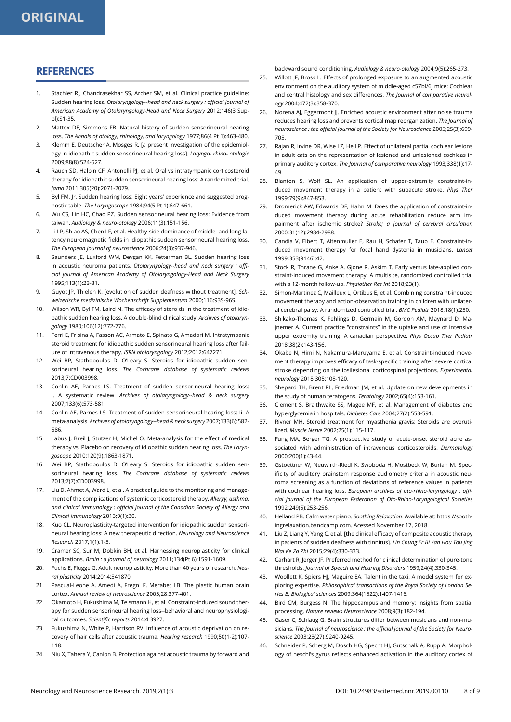# **REFERENCES**

- 1. Stachler RJ, Chandrasekhar SS, Archer SM, et al. Clinical practice guideline: Sudden hearing loss. *Otolaryngology--head and neck surgery : official journal of American Academy of Otolaryngology-Head and Neck Surgery* 2012;146(3 Suppl):S1-35.
- 2. Mattox DE, Simmons FB. Natural history of sudden sensorineural hearing loss. *The Annals of otology, rhinology, and laryngology* 1977;86(4 Pt 1):463-480.
- 3. Klemm E, Deutscher A, Mosges R. [a present investigation of the epidemiology in idiopathic sudden sensorineural hearing loss]. *Laryngo- rhino- otologie*  2009;88(8):524-527.
- 4. Rauch SD, Halpin CF, Antonelli PJ, et al. Oral vs intratympanic corticosteroid therapy for idiopathic sudden sensorineural hearing loss: A randomized trial. *Jama* 2011;305(20):2071-2079.
- 5. Byl FM, Jr. Sudden hearing loss: Eight years' experience and suggested prognostic table. *The Laryngoscope* 1984;94(5 Pt 1):647-661.
- 6. Wu CS, Lin HC, Chao PZ. Sudden sensorineural hearing loss: Evidence from taiwan. *Audiology & neuro-otology* 2006;11(3):151-156.
- 7. Li LP, Shiao AS, Chen LF, et al. Healthy-side dominance of middle- and long-latency neuromagnetic fields in idiopathic sudden sensorineural hearing loss. *The European journal of neuroscience* 2006;24(3):937-946.
- 8. Saunders JE, Luxford WM, Devgan KK, Fetterman BL, Sudden hearing loss in acoustic neuroma patients. *Otolaryngology--head and neck surgery : official journal of American Academy of Otolaryngology-Head and Neck Surgery*  1995;113(1):23-31.
- 9. Guyot JP, Thielen K. [evolution of sudden deafness without treatment]. *Schweizerische medizinische Wochenschrift Supplementum* 2000;116:93S-96S.
- 10. Wilson WR, Byl FM, Laird N. The efficacy of steroids in the treatment of idiopathic sudden hearing loss. A double-blind clinical study. *Archives of otolaryngology* 1980;106(12):772-776.
- 11. Ferri E, Frisina A, Fasson AC, Armato E, Spinato G, Amadori M. Intratympanic steroid treatment for idiopathic sudden sensorineural hearing loss after failure of intravenous therapy. *ISRN otolaryngology* 2012;2012:647271.
- 12. Wei BP, Stathopoulos D, O'Leary S. Steroids for idiopathic sudden sensorineural hearing loss. *The Cochrane database of systematic reviews*  2013;7:CD003998.
- 13. Conlin AE, Parnes LS. Treatment of sudden sensorineural hearing loss: I. A systematic review. *Archives of otolaryngology--head & neck surgery*  2007;133(6):573-581.
- 14. Conlin AE, Parnes LS. Treatment of sudden sensorineural hearing loss: Ii. A meta-analysis. *Archives of otolaryngology--head & neck surgery* 2007;133(6):582- 586.
- 15. Labus J, Breil J, Stutzer H, Michel O. Meta-analysis for the effect of medical therapy vs. Placebo on recovery of idiopathic sudden hearing loss. *The Laryngoscope* 2010;120(9):1863-1871.
- 16. Wei BP, Stathopoulos D, O'Leary S. Steroids for idiopathic sudden sensorineural hearing loss. *The Cochrane database of systematic reviews*  2013;7(7):CD003998.
- 17. Liu D, Ahmet A, Ward L, et al. A practical guide to the monitoring and management of the complications of systemic corticosteroid therapy. *Allergy, asthma, and clinical immunology : official journal of the Canadian Society of Allergy and Clinical Immunology* 2013;9(1):30.
- 18. Kuo CL. Neuroplasticity-targeted intervention for idiopathic sudden sensorineural hearing loss: A new therapeutic direction. *Neurology and Neuroscience Research* 2017;1(1):1-5.
- 19. Cramer SC, Sur M, Dobkin BH, et al. Harnessing neuroplasticity for clinical applications. *Brain : a journal of neurology* 2011;134(Pt 6):1591-1609.
- 20. Fuchs E, Flugge G. Adult neuroplasticity: More than 40 years of research. *Neural plasticity* 2014;2014:541870.
- 21. Pascual-Leone A, Amedi A, Fregni F, Merabet LB. The plastic human brain cortex. *Annual review of neuroscience* 2005;28:377-401.
- 22. Okamoto H, Fukushima M, Teismann H, et al. Constraint-induced sound therapy for sudden sensorineural hearing loss--behavioral and neurophysiological outcomes. *Scientific reports* 2014;4:3927.
- 23. Fukushima N, White P, Harrison RV. Influence of acoustic deprivation on recovery of hair cells after acoustic trauma. *Hearing research* 1990;50(1-2):107- 118.
- 24. Niu X, Tahera Y, Canlon B. Protection against acoustic trauma by forward and

backward sound conditioning. *Audiology & neuro-otology* 2004;9(5):265-273.

- 25. Willott JF, Bross L. Effects of prolonged exposure to an augmented acoustic environment on the auditory system of middle-aged c57bl/6j mice: Cochlear and central histology and sex differences. *The Journal of comparative neurology* 2004;472(3):358-370.
- 26. Norena AJ, Eggermont JJ. Enriched acoustic environment after noise trauma reduces hearing loss and prevents cortical map reorganization. *The Journal of neuroscience : the official journal of the Society for Neuroscience* 2005;25(3):699- 705.
- 27. Rajan R, Irvine DR, Wise LZ, Heil P. Effect of unilateral partial cochlear lesions in adult cats on the representation of lesioned and unlesioned cochleas in primary auditory cortex. *The Journal of comparative neurology* 1993;338(1):17- 49.
- 28. Blanton S, Wolf SL. An application of upper-extremity constraint-induced movement therapy in a patient with subacute stroke. *Phys Ther*  1999;79(9):847-853.
- 29. Dromerick AW, Edwards DF, Hahn M. Does the application of constraint-induced movement therapy during acute rehabilitation reduce arm impairment after ischemic stroke? *Stroke; a journal of cerebral circulation*  2000;31(12):2984-2988.
- 30. Candia V, Elbert T, Altenmuller E, Rau H, Schafer T, Taub E. Constraint-induced movement therapy for focal hand dystonia in musicians. *Lancet*  1999;353(9146):42.
- 31. Stock R, Thrane G, Anke A, Gjone R, Askim T. Early versus late-applied constraint-induced movement therapy: A multisite, randomized controlled trial with a 12-month follow-up. *Physiother Res Int* 2018;23(1).
- 32. Simon-Martinez C, Mailleux L, Ortibus E, et al. Combining constraint-induced movement therapy and action-observation training in children with unilateral cerebral palsy: A randomized controlled trial. *BMC Pediatr* 2018;18(1):250.
- 33. Shikako-Thomas K, Fehlings D, Germain M, Gordon AM, Maynard D, Majnemer A. Current practice "constraints" in the uptake and use of intensive upper extremity training: A canadian perspective. *Phys Occup Ther Pediatr*  2018;38(2):143-156.
- 34. Okabe N, Himi N, Nakamura-Maruyama E, et al. Constraint-induced movement therapy improves efficacy of task-specific training after severe cortical stroke depending on the ipsilesional corticospinal projections. *Experimental neurology* 2018;305:108-120.
- 35. Shepard TH, Brent RL, Friedman JM, et al. Update on new developments in the study of human teratogens. *Teratology* 2002;65(4):153-161.
- 36. Clement S, Braithwaite SS, Magee MF, et al. Management of diabetes and hyperglycemia in hospitals. *Diabetes Care* 2004;27(2):553-591.
- 37. Rivner MH. Steroid treatment for myasthenia gravis: Steroids are overutilized. *Muscle Nerve* 2002;25(1):115-117.
- 38. Fung MA, Berger TG. A prospective study of acute-onset steroid acne associated with administration of intravenous corticosteroids. *Dermatology*  2000;200(1):43-44.
- 39. Gstoettner W, Neuwirth-Riedl K, Swoboda H, Mostbeck W, Burian M. Specificity of auditory brainstem response audiometry criteria in acoustic neuroma screening as a function of deviations of reference values in patients with cochlear hearing loss. *European archives of oto-rhino-laryngology : official journal of the European Federation of Oto-Rhino-Laryngological Societies*  1992;249(5):253-256.
- 40. Helland PB. Calm water piano. *Soothing Relaxation*. Available at: https://soothingrelaxation.bandcamp.com. Acessed November 17, 2018.
- 41. Liu Z, Liang Y, Yang C, et al. [the clinical efficacy of composite acoustic therapy in patients of sudden deafness with tinnitus]. *Lin Chung Er Bi Yan Hou Tou Jing Wai Ke Za Zhi* 2015;29(4):330-333.
- 42. Carhart R, Jerger JF. Preferred method for clinical determination of pure-tone thresholds. *Journal of Speech and Hearing Disorders* 1959;24(4):330-345.
- 43. Woollett K, Spiers HJ, Maguire EA. Talent in the taxi: A model system for exploring expertise. *Philosophical transactions of the Royal Society of London Series B, Biological sciences* 2009;364(1522):1407-1416.
- 44. Bird CM, Burgess N. The hippocampus and memory: Insights from spatial processing. *Nature reviews Neuroscience* 2008;9(3):182-194.
- 45. Gaser C, Schlaug G. Brain structures differ between musicians and non-musicians. *The Journal of neuroscience : the official journal of the Society for Neuroscience* 2003;23(27):9240-9245.
- 46. Schneider P, Scherg M, Dosch HG, Specht HJ, Gutschalk A, Rupp A. Morphology of heschl's gyrus reflects enhanced activation in the auditory cortex of